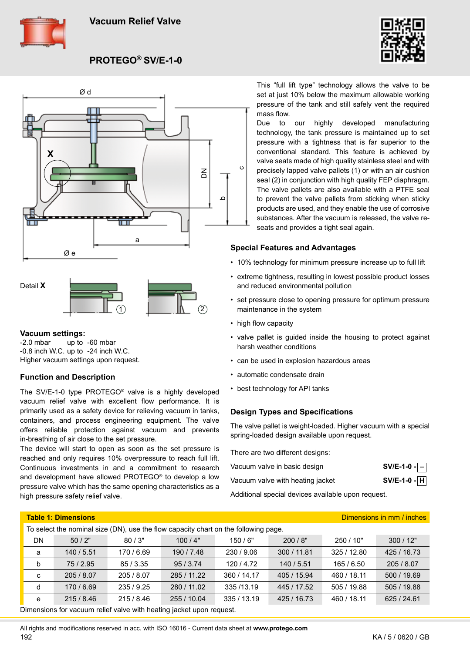



**PROTEGO® SV/E-1-0**





**Vacuum settings:**<br>-2.0 mbar up to

up to  $-60$  mbar -0.8 inch W.C. up to -24 inch W.C. Higher vacuum settings upon request.

## **Function and Description**

The SV/E-1-0 type PROTEGO® valve is a highly developed vacuum relief valve with excellent flow performance. It is primarily used as a safety device for relieving vacuum in tanks, containers, and process engineering equipment. The valve offers reliable protection against vacuum and prevents in-breathing of air close to the set pressure.

The device will start to open as soon as the set pressure is reached and only requires 10% overpressure to reach full lift. Continuous investments in and a commitment to research and development have allowed PROTEGO® to develop a low pressure valve which has the same opening characteristics as a high pressure safety relief valve.

This "full lift type" technology allows the valve to be set at just 10% below the maximum allowable working pressure of the tank and still safely vent the required mass flow.

Due to our highly developed manufacturing technology, the tank pressure is maintained up to set pressure with a tightness that is far superior to the conventional standard. This feature is achieved by valve seats made of high quality stainless steel and with precisely lapped valve pallets (1) or with an air cushion seal (2) in conjunction with high quality FEP diaphragm. The valve pallets are also available with a PTFE seal to prevent the valve pallets from sticking when sticky products are used, and they enable the use of corrosive substances. After the vacuum is released, the valve reseats and provides a tight seal again.

## **Special Features and Advantages**

- 10% technology for minimum pressure increase up to full lift
- extreme tightness, resulting in lowest possible product losses and reduced environmental pollution
- set pressure close to opening pressure for optimum pressure maintenance in the system
- high flow capacity
- valve pallet is guided inside the housing to protect against harsh weather conditions
- can be used in explosion hazardous areas
- automatic condensate drain
- best technology for API tanks

## **Design Types and Specifications**

The valve pallet is weight-loaded. Higher vacuum with a special spring-loaded design available upon request.

There are two different designs:

| Vacuum valve in basic design     | $SV/E-1-0$ - $-$ |
|----------------------------------|------------------|
| Vacuum valve with heating jacket | $SV/E-1-0$ - $H$ |
|                                  |                  |

Additional special devices available upon request.

| <b>Table 1: Dimensions</b><br>Dimensions in mm / inches                             |            |            |             |             |             |             |             |
|-------------------------------------------------------------------------------------|------------|------------|-------------|-------------|-------------|-------------|-------------|
| To select the nominal size (DN), use the flow capacity chart on the following page. |            |            |             |             |             |             |             |
| <b>DN</b>                                                                           | 50/2"      | 80/3"      | 100/4"      | 150/6"      | 200/8"      | 250/10"     | 300/12"     |
| a                                                                                   | 140 / 5.51 | 170 / 6.69 | 190 / 7.48  | 230 / 9.06  | 300 / 11.81 | 325 / 12.80 | 425 / 16.73 |
| b                                                                                   | 75/2.95    | 85/3.35    | 95/3.74     | 120/4.72    | 140/5.51    | 165/6.50    | 205 / 8.07  |
| C                                                                                   | 205 / 8.07 | 205 / 8.07 | 285 / 11.22 | 360 / 14.17 | 405 / 15.94 | 460 / 18.11 | 500 / 19.69 |
| d                                                                                   | 170/6.69   | 235/9.25   | 280 / 11.02 | 335/13.19   | 445 / 17.52 | 505 / 19.88 | 505 / 19.88 |
| e                                                                                   | 215/8.46   | 215/8.46   | 255 / 10.04 | 335/13.19   | 425 / 16.73 | 460 / 18.11 | 625 / 24.61 |
| Dimensions for vacuum relief valve with heating jacket upon request.                |            |            |             |             |             |             |             |